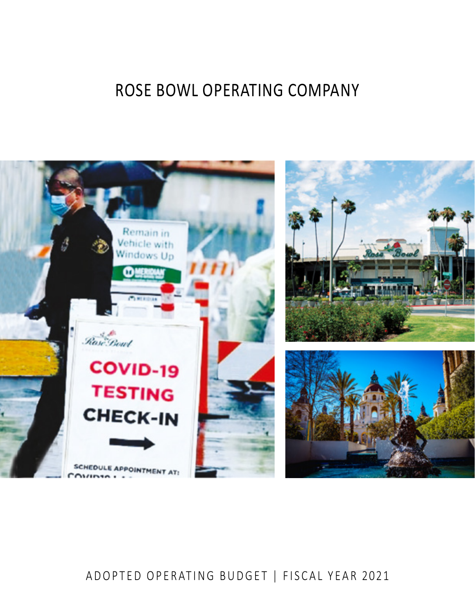# ROSE BOWL OPERATING COMPANY



# ADOPTED OPERATING BUDGET | FISCAL YEAR 2021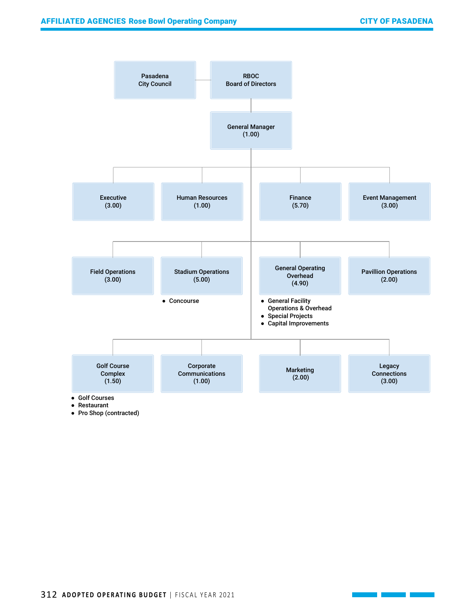

● Pro Shop (contracted)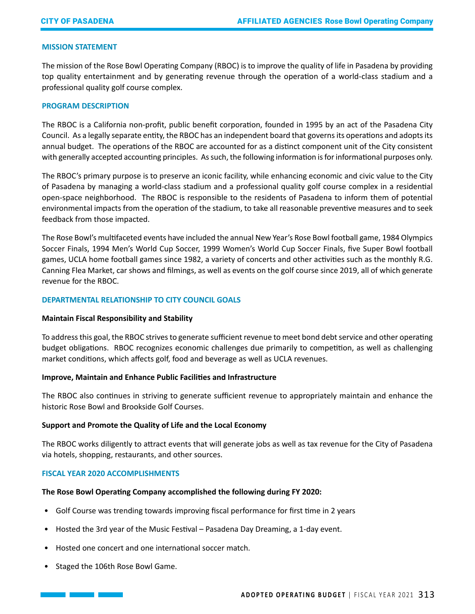#### **MISSION STATEMENT**

The mission of the Rose Bowl Operating Company (RBOC) is to improve the quality of life in Pasadena by providing top quality entertainment and by generating revenue through the operation of a world-class stadium and a professional quality golf course complex.

#### **PROGRAM DESCRIPTION**

The RBOC is a California non-profit, public benefit corporation, founded in 1995 by an act of the Pasadena City Council. As a legally separate entity, the RBOC has an independent board that governs its operations and adopts its annual budget. The operations of the RBOC are accounted for as a distinct component unit of the City consistent with generally accepted accounting principles. As such, the following information is for informational purposes only.

The RBOC's primary purpose is to preserve an iconic facility, while enhancing economic and civic value to the City of Pasadena by managing a world-class stadium and a professional quality golf course complex in a residential open-space neighborhood. The RBOC is responsible to the residents of Pasadena to inform them of potential environmental impacts from the operation of the stadium, to take all reasonable preventive measures and to seek feedback from those impacted.

The Rose Bowl's multifaceted events have included the annual New Year's Rose Bowl football game, 1984 Olympics Soccer Finals, 1994 Men's World Cup Soccer, 1999 Women's World Cup Soccer Finals, five Super Bowl football games, UCLA home football games since 1982, a variety of concerts and other activities such as the monthly R.G. Canning Flea Market, car shows and filmings, as well as events on the golf course since 2019, all of which generate revenue for the RBOC.

#### **DEPARTMENTAL RELATIONSHIP TO CITY COUNCIL GOALS**

# **Maintain Fiscal Responsibility and Stability**

To address this goal, the RBOC strives to generate sufficient revenue to meet bond debt service and other operating budget obligations. RBOC recognizes economic challenges due primarily to competition, as well as challenging market conditions, which affects golf, food and beverage as well as UCLA revenues.

# **Improve, Maintain and Enhance Public Facilities and Infrastructure**

The RBOC also continues in striving to generate sufficient revenue to appropriately maintain and enhance the historic Rose Bowl and Brookside Golf Courses.

# **Support and Promote the Quality of Life and the Local Economy**

The RBOC works diligently to attract events that will generate jobs as well as tax revenue for the City of Pasadena via hotels, shopping, restaurants, and other sources.

# **FISCAL YEAR 2020 ACCOMPLISHMENTS**

# **The Rose Bowl Operating Company accomplished the following during FY 2020:**

- Golf Course was trending towards improving fiscal performance for first time in 2 years
- Hosted the 3rd year of the Music Festival Pasadena Day Dreaming, a 1-day event.
- Hosted one concert and one international soccer match.
- Staged the 106th Rose Bowl Game.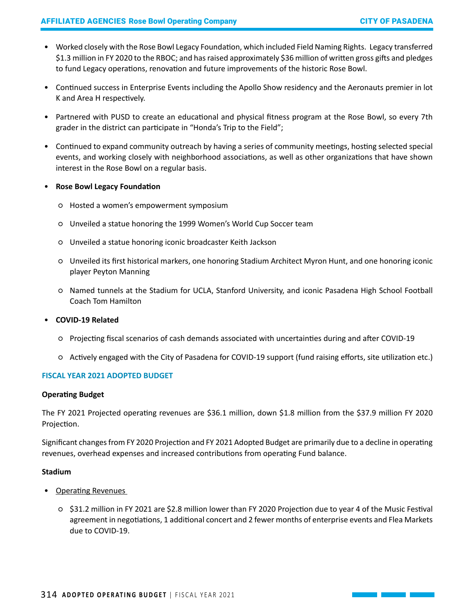- Worked closely with the Rose Bowl Legacy Foundation, which included Field Naming Rights. Legacy transferred \$1.3 million in FY 2020 to the RBOC; and has raised approximately \$36 million of written gross gifts and pledges to fund Legacy operations, renovation and future improvements of the historic Rose Bowl.
- Continued success in Enterprise Events including the Apollo Show residency and the Aeronauts premier in lot K and Area H respectively.
- Partnered with PUSD to create an educational and physical fitness program at the Rose Bowl, so every 7th grader in the district can participate in "Honda's Trip to the Field";
- Continued to expand community outreach by having a series of community meetings, hosting selected special events, and working closely with neighborhood associations, as well as other organizations that have shown interest in the Rose Bowl on a regular basis.
- **Rose Bowl Legacy Foundation** 
	- Hosted a women's empowerment symposium
	- Unveiled a statue honoring the 1999 Women's World Cup Soccer team
	- Unveiled a statue honoring iconic broadcaster Keith Jackson
	- Unveiled its first historical markers, one honoring Stadium Architect Myron Hunt, and one honoring iconic player Peyton Manning
	- Named tunnels at the Stadium for UCLA, Stanford University, and iconic Pasadena High School Football Coach Tom Hamilton

# • **COVID-19 Related**

- Projecting fiscal scenarios of cash demands associated with uncertainties during and after COVID-19
- Actively engaged with the City of Pasadena for COVID-19 support (fund raising efforts, site utilization etc.)

# **FISCAL YEAR 2021 ADOPTED BUDGET**

# **Operating Budget**

The FY 2021 Projected operating revenues are \$36.1 million, down \$1.8 million from the \$37.9 million FY 2020 Projection.

Significant changes from FY 2020 Projection and FY 2021 Adopted Budget are primarily due to a decline in operating revenues, overhead expenses and increased contributions from operating Fund balance.

# **Stadium**

- Operating Revenues
	- \$31.2 million in FY 2021 are \$2.8 million lower than FY 2020 Projection due to year 4 of the Music Festival agreement in negotiations, 1 additional concert and 2 fewer months of enterprise events and Flea Markets due to COVID-19.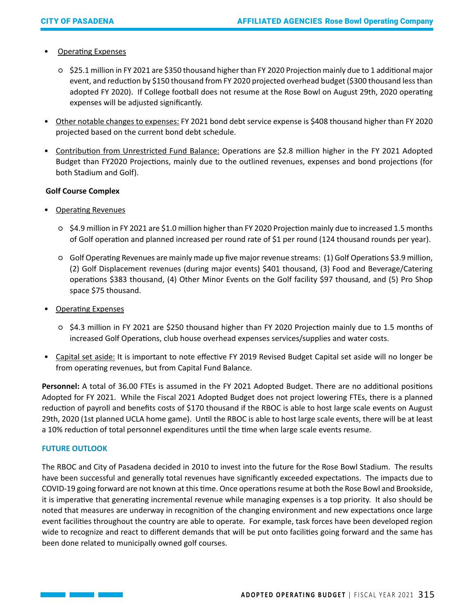# • Operating Expenses

- \$25.1 million in FY 2021 are \$350 thousand higher than FY 2020 Projection mainly due to 1 additional major event, and reduction by \$150 thousand from FY 2020 projected overhead budget (\$300 thousand less than adopted FY 2020). If College football does not resume at the Rose Bowl on August 29th, 2020 operating expenses will be adjusted significantly.
- Other notable changes to expenses: FY 2021 bond debt service expense is \$408 thousand higher than FY 2020 projected based on the current bond debt schedule.
- Contribution from Unrestricted Fund Balance: Operations are \$2.8 million higher in the FY 2021 Adopted Budget than FY2020 Projections, mainly due to the outlined revenues, expenses and bond projections (for both Stadium and Golf).

# **Golf Course Complex**

- Operating Revenues
	- \$4.9 million in FY 2021 are \$1.0 million higher than FY 2020 Projection mainly due to increased 1.5 months of Golf operation and planned increased per round rate of \$1 per round (124 thousand rounds per year).
	- Golf Operating Revenues are mainly made up five major revenue streams: (1) Golf Operations \$3.9 million, (2) Golf Displacement revenues (during major events) \$401 thousand, (3) Food and Beverage/Catering operations \$383 thousand, (4) Other Minor Events on the Golf facility \$97 thousand, and (5) Pro Shop space \$75 thousand.
- Operating Expenses
	- \$4.3 million in FY 2021 are \$250 thousand higher than FY 2020 Projection mainly due to 1.5 months of increased Golf Operations, club house overhead expenses services/supplies and water costs.
- Capital set aside: It is important to note effective FY 2019 Revised Budget Capital set aside will no longer be from operating revenues, but from Capital Fund Balance.

**Personnel:** A total of 36.00 FTEs is assumed in the FY 2021 Adopted Budget. There are no additional positions Adopted for FY 2021. While the Fiscal 2021 Adopted Budget does not project lowering FTEs, there is a planned reduction of payroll and benefits costs of \$170 thousand if the RBOC is able to host large scale events on August 29th, 2020 (1st planned UCLA home game). Until the RBOC is able to host large scale events, there will be at least a 10% reduction of total personnel expenditures until the time when large scale events resume.

# **FUTURE OUTLOOK**

The RBOC and City of Pasadena decided in 2010 to invest into the future for the Rose Bowl Stadium. The results have been successful and generally total revenues have significantly exceeded expectations. The impacts due to COVID-19 going forward are not known at this time. Once operations resume at both the Rose Bowl and Brookside, it is imperative that generating incremental revenue while managing expenses is a top priority. It also should be noted that measures are underway in recognition of the changing environment and new expectations once large event facilities throughout the country are able to operate. For example, task forces have been developed region wide to recognize and react to different demands that will be put onto facilities going forward and the same has been done related to municipally owned golf courses.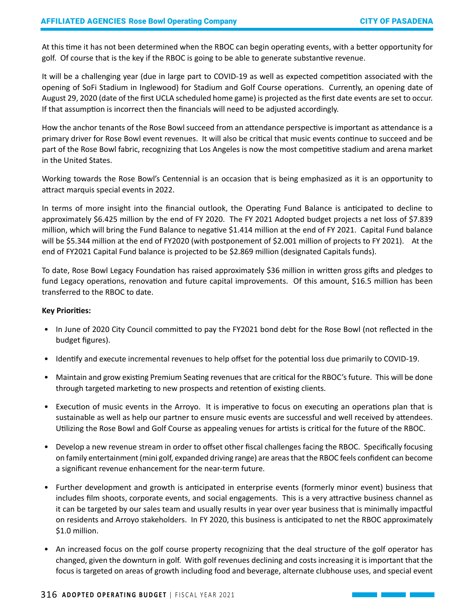At this time it has not been determined when the RBOC can begin operating events, with a better opportunity for golf. Of course that is the key if the RBOC is going to be able to generate substantive revenue.

It will be a challenging year (due in large part to COVID-19 as well as expected competition associated with the opening of SoFi Stadium in Inglewood) for Stadium and Golf Course operations. Currently, an opening date of August 29, 2020 (date of the first UCLA scheduled home game) is projected as the first date events are set to occur. If that assumption is incorrect then the financials will need to be adjusted accordingly.

How the anchor tenants of the Rose Bowl succeed from an attendance perspective is important as attendance is a primary driver for Rose Bowl event revenues. It will also be critical that music events continue to succeed and be part of the Rose Bowl fabric, recognizing that Los Angeles is now the most competitive stadium and arena market in the United States.

Working towards the Rose Bowl's Centennial is an occasion that is being emphasized as it is an opportunity to attract marquis special events in 2022.

In terms of more insight into the financial outlook, the Operating Fund Balance is anticipated to decline to approximately \$6.425 million by the end of FY 2020. The FY 2021 Adopted budget projects a net loss of \$7.839 million, which will bring the Fund Balance to negative \$1.414 million at the end of FY 2021. Capital Fund balance will be \$5.344 million at the end of FY2020 (with postponement of \$2.001 million of projects to FY 2021). At the end of FY2021 Capital Fund balance is projected to be \$2.869 million (designated Capitals funds).

To date, Rose Bowl Legacy Foundation has raised approximately \$36 million in written gross gifts and pledges to fund Legacy operations, renovation and future capital improvements. Of this amount, \$16.5 million has been transferred to the RBOC to date.

#### **Key Priorities:**

- In June of 2020 City Council committed to pay the FY2021 bond debt for the Rose Bowl (not reflected in the budget figures).
- Identify and execute incremental revenues to help offset for the potential loss due primarily to COVID-19.
- Maintain and grow existing Premium Seating revenues that are critical for the RBOC's future. This will be done through targeted marketing to new prospects and retention of existing clients.
- Execution of music events in the Arroyo. It is imperative to focus on executing an operations plan that is sustainable as well as help our partner to ensure music events are successful and well received by attendees. Utilizing the Rose Bowl and Golf Course as appealing venues for artists is critical for the future of the RBOC.
- Develop a new revenue stream in order to offset other fiscal challenges facing the RBOC. Specifically focusing on family entertainment (mini golf, expanded driving range) are areas that the RBOC feels confident can become a significant revenue enhancement for the near-term future.
- Further development and growth is anticipated in enterprise events (formerly minor event) business that includes film shoots, corporate events, and social engagements. This is a very attractive business channel as it can be targeted by our sales team and usually results in year over year business that is minimally impactful on residents and Arroyo stakeholders. In FY 2020, this business is anticipated to net the RBOC approximately \$1.0 million.
- An increased focus on the golf course property recognizing that the deal structure of the golf operator has changed, given the downturn in golf. With golf revenues declining and costs increasing it is important that the focus is targeted on areas of growth including food and beverage, alternate clubhouse uses, and special event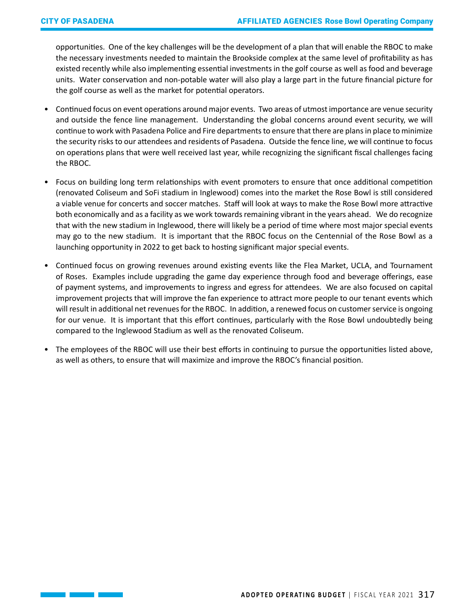opportunities. One of the key challenges will be the development of a plan that will enable the RBOC to make the necessary investments needed to maintain the Brookside complex at the same level of profitability as has existed recently while also implementing essential investments in the golf course as well as food and beverage units. Water conservation and non-potable water will also play a large part in the future financial picture for the golf course as well as the market for potential operators.

- Continued focus on event operations around major events. Two areas of utmost importance are venue security and outside the fence line management. Understanding the global concerns around event security, we will continue to work with Pasadena Police and Fire departments to ensure that there are plans in place to minimize the security risks to our attendees and residents of Pasadena. Outside the fence line, we will continue to focus on operations plans that were well received last year, while recognizing the significant fiscal challenges facing the RBOC.
- Focus on building long term relationships with event promoters to ensure that once additional competition (renovated Coliseum and SoFi stadium in Inglewood) comes into the market the Rose Bowl is still considered a viable venue for concerts and soccer matches. Staff will look at ways to make the Rose Bowl more attractive both economically and as a facility as we work towards remaining vibrant in the years ahead. We do recognize that with the new stadium in Inglewood, there will likely be a period of time where most major special events may go to the new stadium. It is important that the RBOC focus on the Centennial of the Rose Bowl as a launching opportunity in 2022 to get back to hosting significant major special events.
- Continued focus on growing revenues around existing events like the Flea Market, UCLA, and Tournament of Roses. Examples include upgrading the game day experience through food and beverage offerings, ease of payment systems, and improvements to ingress and egress for attendees. We are also focused on capital improvement projects that will improve the fan experience to attract more people to our tenant events which will result in additional net revenues for the RBOC. In addition, a renewed focus on customer service is ongoing for our venue. It is important that this effort continues, particularly with the Rose Bowl undoubtedly being compared to the Inglewood Stadium as well as the renovated Coliseum.
- The employees of the RBOC will use their best efforts in continuing to pursue the opportunities listed above, as well as others, to ensure that will maximize and improve the RBOC's financial position.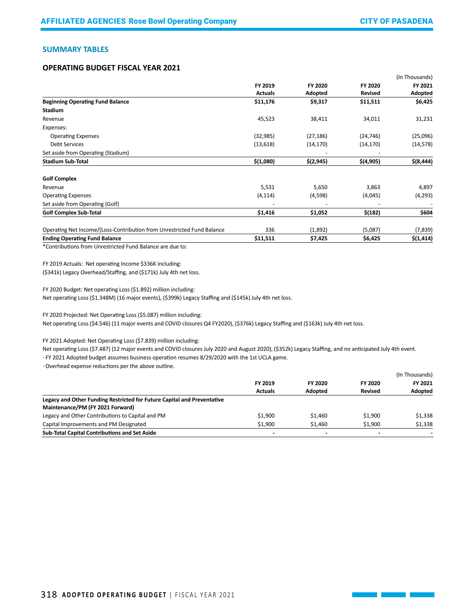$\mathcal{L}(\mathcal{L}^{\mathcal{L}}_{\mathcal{L}})$  and  $\mathcal{L}^{\mathcal{L}}_{\mathcal{L}}$ 

#### **SUMMARY TABLES**

#### **OPERATING BUDGET FISCAL YEAR 2021**

|                                                                        |                |                    |                           | (In Thousands)     |
|------------------------------------------------------------------------|----------------|--------------------|---------------------------|--------------------|
|                                                                        | FY 2019        | FY 2020<br>Adopted | FY 2020<br><b>Revised</b> | FY 2021<br>Adopted |
|                                                                        | <b>Actuals</b> |                    |                           |                    |
| <b>Beginning Operating Fund Balance</b>                                | \$11,176       | \$9,317            | \$11,511                  | \$6,425            |
| <b>Stadium</b>                                                         |                |                    |                           |                    |
| Revenue                                                                | 45,523         | 38,411             | 34,011                    | 31,231             |
| Expenses:                                                              |                |                    |                           |                    |
| <b>Operating Expenses</b>                                              | (32, 985)      | (27, 186)          | (24, 746)                 | (25,096)           |
| <b>Debt Services</b>                                                   | (13, 618)      | (14, 170)          | (14, 170)                 | (14, 578)          |
| Set aside from Operating (Stadium)                                     |                |                    |                           |                    |
| <b>Stadium Sub-Total</b>                                               | \$(1,080)      | \$(2, 945)         | \$(4,905)                 | $$$ (8,444)        |
| <b>Golf Complex</b>                                                    |                |                    |                           |                    |
| Revenue                                                                | 5,531          | 5,650              | 3,863                     | 4,897              |
| <b>Operating Expenses</b>                                              | (4, 114)       | (4,598)            | (4,045)                   | (4, 293)           |
| Set aside from Operating (Golf)                                        |                |                    |                           |                    |
| <b>Golf Complex Sub-Total</b>                                          | \$1,416        | \$1,052            | \$(182)                   | \$604              |
| Operating Net Income/(Loss-Contribution from Unrestricted Fund Balance | 336            | (1,892)            | (5,087)                   | (7, 839)           |
| <b>Ending Operating Fund Balance</b>                                   | \$11,511       | \$7,425            | \$6,425                   | \$(1, 414)         |

\*Contributions from Unrestricted Fund Balance are due to:

FY 2019 Actuals: Net operating Income \$336K including:

(\$341k) Legacy Overhead/Staffing, and (\$171k) July 4th net loss.

FY 2020 Budget: Net operating Loss (\$1.892) million including:

Net operating Loss (\$1.348M) (16 major events), (\$399k) Legacy Staffing and (\$145k) July 4th net loss.

FY 2020 Projected: Net Operating Loss (\$5.087) million including:

Net operating Loss (\$4.546) (11 major events and COVID closures Q4 FY2020), (\$376k) Legacy Staffing and (\$163k) July 4th net loss.

FY 2021 Adopted: Net Operating Loss (\$7.839) million including:

Net operating Loss (\$7.487) (12 major events and COVID closures July 2020 and August 2020), (\$352k) Legacy Staffing, and no anticipated July 4th event.

· FY 2021 Adopted budget assumes business operation resumes 8/29/2020 with the 1st UCLA game.

· Overhead expense reductions per the above outline.

|                                                                         |                           | FY 2020<br><b>Adopted</b> |                           | (In Thousands)<br>FY 2021<br>Adopted |
|-------------------------------------------------------------------------|---------------------------|---------------------------|---------------------------|--------------------------------------|
|                                                                         | FY 2019<br><b>Actuals</b> |                           | FY 2020<br><b>Revised</b> |                                      |
|                                                                         |                           |                           |                           |                                      |
| Legacy and Other Funding Restricted for Future Capital and Preventative |                           |                           |                           |                                      |
| Maintenance/PM (FY 2021 Forward)                                        |                           |                           |                           |                                      |
| Legacy and Other Contributions to Capital and PM                        | \$1.900                   | \$1,460                   | \$1.900                   | \$1,338                              |
| Capital Improvements and PM Designated                                  | \$1.900                   | \$1,460                   | \$1.900                   | \$1,338                              |
| Sub-Total Capital Contributions and Set Aside                           |                           | $\blacksquare$            | $\overline{\phantom{a}}$  | $\overline{\phantom{0}}$             |